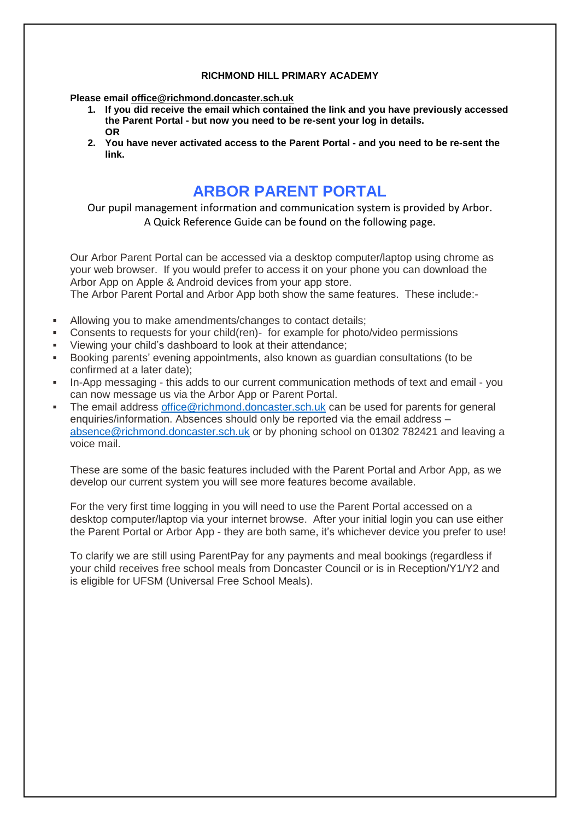## **RICHMOND HILL PRIMARY ACADEMY**

**Please email [office@richmond.doncaster.sch.uk](mailto:office@richmond.doncaster.sch.uk)**

- **1. If you did receive the email which contained the link and you have previously accessed the Parent Portal - but now you need to be re-sent your log in details. OR**
- **2. You have never activated access to the Parent Portal - and you need to be re-sent the link.**

# **ARBOR PARENT PORTAL**

Our pupil management information and communication system is provided by Arbor. A Quick Reference Guide can be found on the following page.

Our Arbor Parent Portal can be accessed via a desktop computer/laptop using chrome as your web browser. If you would prefer to access it on your phone you can download the Arbor App on Apple & Android devices from your app store.

The Arbor Parent Portal and Arbor App both show the same features. These include:-

- Allowing you to make amendments/changes to contact details;
- Consents to requests for your child(ren)- for example for photo/video permissions
- Viewing your child's dashboard to look at their attendance;
- Booking parents' evening appointments, also known as guardian consultations (to be confirmed at a later date);
- In-App messaging this adds to our current communication methods of text and email you can now message us via the Arbor App or Parent Portal.
- The email address [office@richmond.doncaster.sch.uk](mailto:office@richmond.doncaster.sch.uk) can be used for parents for general enquiries/information. Absences should only be reported via the email address – [absence@richmond.doncaster.sch.uk](mailto:absence@richmond.doncaster.sch.uk) or by phoning school on 01302 782421 and leaving a voice mail.

These are some of the basic features included with the Parent Portal and Arbor App, as we develop our current system you will see more features become available.

For the very first time logging in you will need to use the Parent Portal accessed on a desktop computer/laptop via your internet browse. After your initial login you can use either the Parent Portal or Arbor App - they are both same, it's whichever device you prefer to use!

To clarify we are still using ParentPay for any payments and meal bookings (regardless if your child receives free school meals from Doncaster Council or is in Reception/Y1/Y2 and is eligible for UFSM (Universal Free School Meals).